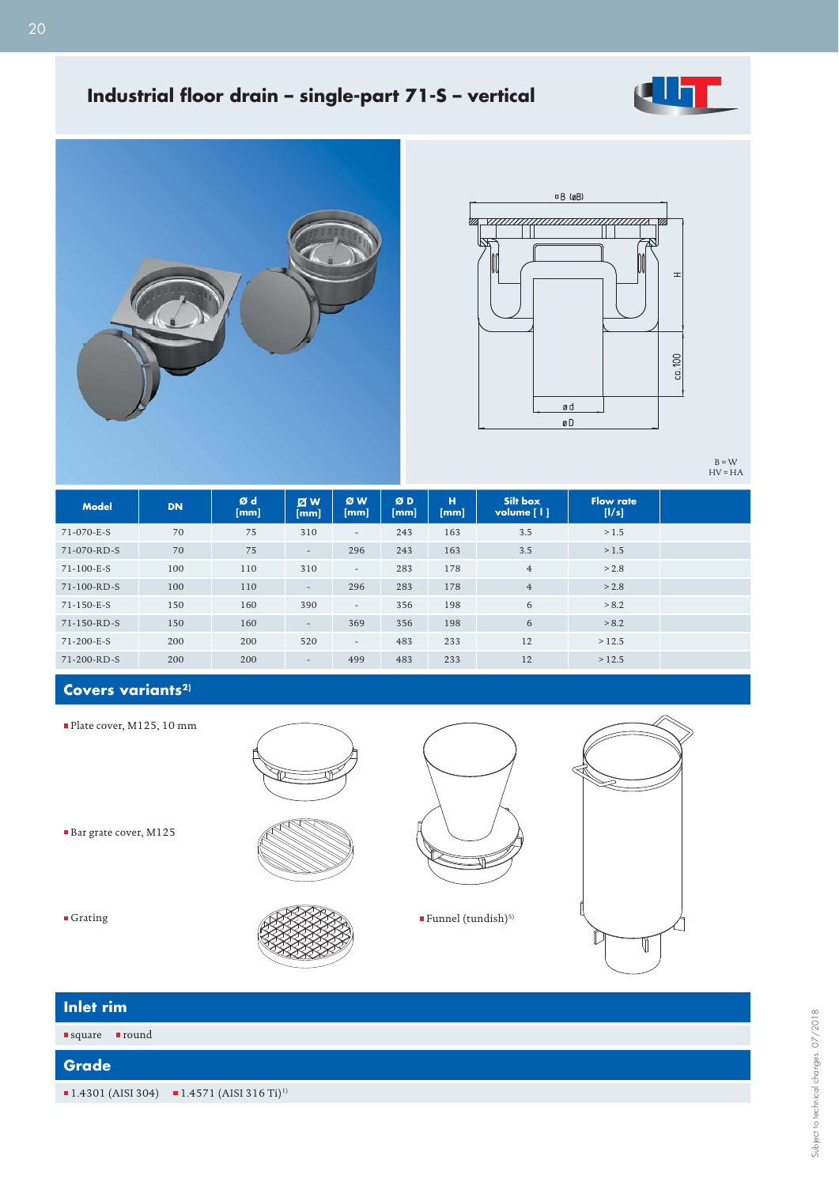

# **Industrial floor drain - single-part 71-S - vertical**





 $B = W$ <br>HV = HA

| <b>Model</b> | <b>DN</b> | Ød<br>[mm] | $\boxtimes$ W<br>[mm]    | ØW<br>[mm] | ØD<br>[mm] | н<br>[mm] | Silt box<br>volume [1] | <b>Flow rate</b><br>[1/s] |
|--------------|-----------|------------|--------------------------|------------|------------|-----------|------------------------|---------------------------|
| 71-070-E-S   | 70        | 75         | 310                      | $\sim$     | 243        | 163       | 3.5                    | >1.5                      |
| 71-070-RD-S  | 70        | 75         | $\overline{\phantom{a}}$ | 296        | 243        | 163       | 3.5                    | >1.5                      |
| 71-100-E-S   | 100       | 110        | 310                      | $\sim$     | 283        | 178       | $\overline{4}$         | > 2.8                     |
| 71-100-RD-S  | 100       | 110        | $\overline{\phantom{a}}$ | 296        | 283        | 178       | $\overline{4}$         | > 2.8                     |
| 71-150-E-S   | 150       | 160        | 390                      | $\sim$     | 356        | 198       | 6                      | > 8.2                     |
| 71-150-RD-S  | 150       | 160        | $\overline{\phantom{a}}$ | 369        | 356        | 198       | 6                      | > 8.2                     |
| 71-200-E-S   | 200       | 200        | 520                      | $\sim$     | 483        | 233       | 12                     | >12.5                     |
| 71-200-RD-S  | 200       | 200        | $\overline{\phantom{a}}$ | 499        | 483        | 233       | 12                     | >12.5                     |

## Covers variants<sup>2)</sup>

Plate cover, M125, 10 mm

Bar grate cover, M125







| Inlet rim                       |                                                                                    |
|---------------------------------|------------------------------------------------------------------------------------|
| ■round<br>$\blacksquare$ square |                                                                                    |
| <b>Grade</b>                    |                                                                                    |
|                                 | $\blacksquare$ 1.4301 (AISI 304) $\blacksquare$ 1.4571 (AISI 316 Ti) <sup>1)</sup> |